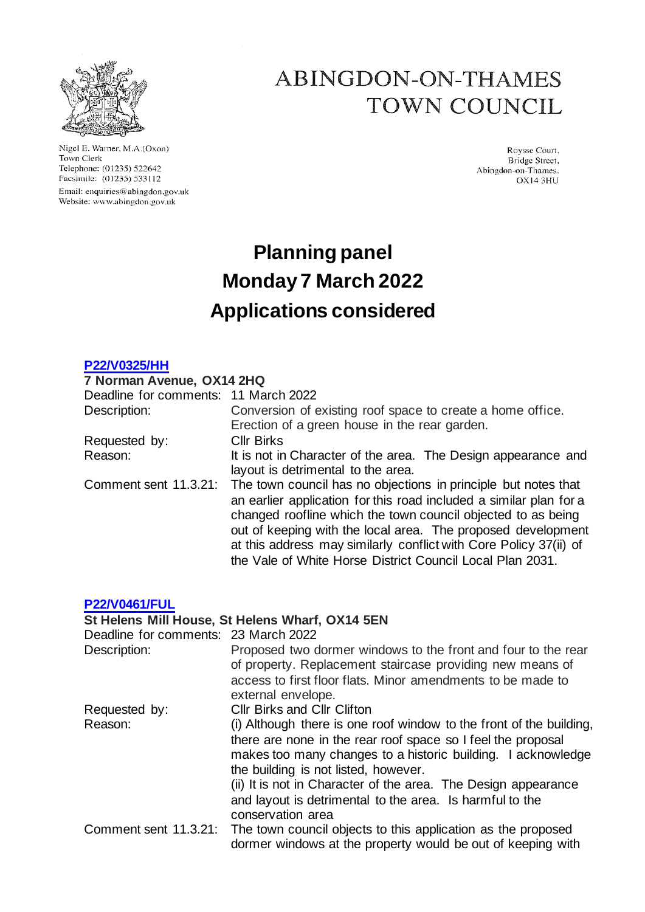

Nigel E. Warner, M.A.(Oxon) Town Clerk Telephone: (01235) 522642 Facsimile: (01235) 533112 Email: enquiries@abingdon.gov.uk Website: www.abingdon.gov.uk

## ABINGDON-ON-THAMES TOWN COUNCIL

Roysse Court, Bridge Street, Abingdon-on-Thames. OX14 3HU

# **Planning panel Monday 7 March 2022 Applications considered**

### **[P22/V0325/HH](https://data.whitehorsedc.gov.uk/java/support/Main.jsp?MODULE=ApplicationDetails&REF=P22/V0325/HH)**

#### **7 Norman Avenue, OX14 2HQ**

| Deadline for comments: 11 March 2022 |                                                                                                                                                                                                                                                                                                                                                                                                        |
|--------------------------------------|--------------------------------------------------------------------------------------------------------------------------------------------------------------------------------------------------------------------------------------------------------------------------------------------------------------------------------------------------------------------------------------------------------|
| Description:                         | Conversion of existing roof space to create a home office.                                                                                                                                                                                                                                                                                                                                             |
|                                      | Erection of a green house in the rear garden.                                                                                                                                                                                                                                                                                                                                                          |
| Requested by:                        | <b>Cllr Birks</b>                                                                                                                                                                                                                                                                                                                                                                                      |
| Reason:                              | It is not in Character of the area. The Design appearance and<br>layout is detrimental to the area.                                                                                                                                                                                                                                                                                                    |
| Comment sent 11.3.21:                | The town council has no objections in principle but notes that<br>an earlier application for this road included a similar plan for a<br>changed roofline which the town council objected to as being<br>out of keeping with the local area. The proposed development<br>at this address may similarly conflict with Core Policy 37(ii) of<br>the Vale of White Horse District Council Local Plan 2031. |

#### **[P22/V0461/FUL](https://data.whitehorsedc.gov.uk/java/support/Main.jsp?MODULE=ApplicationDetails&REF=P22/V0461/FUL)**

## **St Helens Mill House, St Helens Wharf, OX14 5EN**

| Deadline for comments: 23 March 2022 |                                                                                                                                                                                                                                                                                                                                                                                                |
|--------------------------------------|------------------------------------------------------------------------------------------------------------------------------------------------------------------------------------------------------------------------------------------------------------------------------------------------------------------------------------------------------------------------------------------------|
| Description:                         | Proposed two dormer windows to the front and four to the rear<br>of property. Replacement staircase providing new means of<br>access to first floor flats. Minor amendments to be made to<br>external envelope.                                                                                                                                                                                |
| Requested by:                        | <b>CIIr Birks and CIIr Clifton</b>                                                                                                                                                                                                                                                                                                                                                             |
| Reason:                              | (i) Although there is one roof window to the front of the building,<br>there are none in the rear roof space so I feel the proposal<br>makes too many changes to a historic building. I acknowledge<br>the building is not listed, however.<br>(ii) It is not in Character of the area. The Design appearance<br>and layout is detrimental to the area. Is harmful to the<br>conservation area |
|                                      | Comment sent 11.3.21: The town council objects to this application as the proposed<br>dormer windows at the property would be out of keeping with                                                                                                                                                                                                                                              |